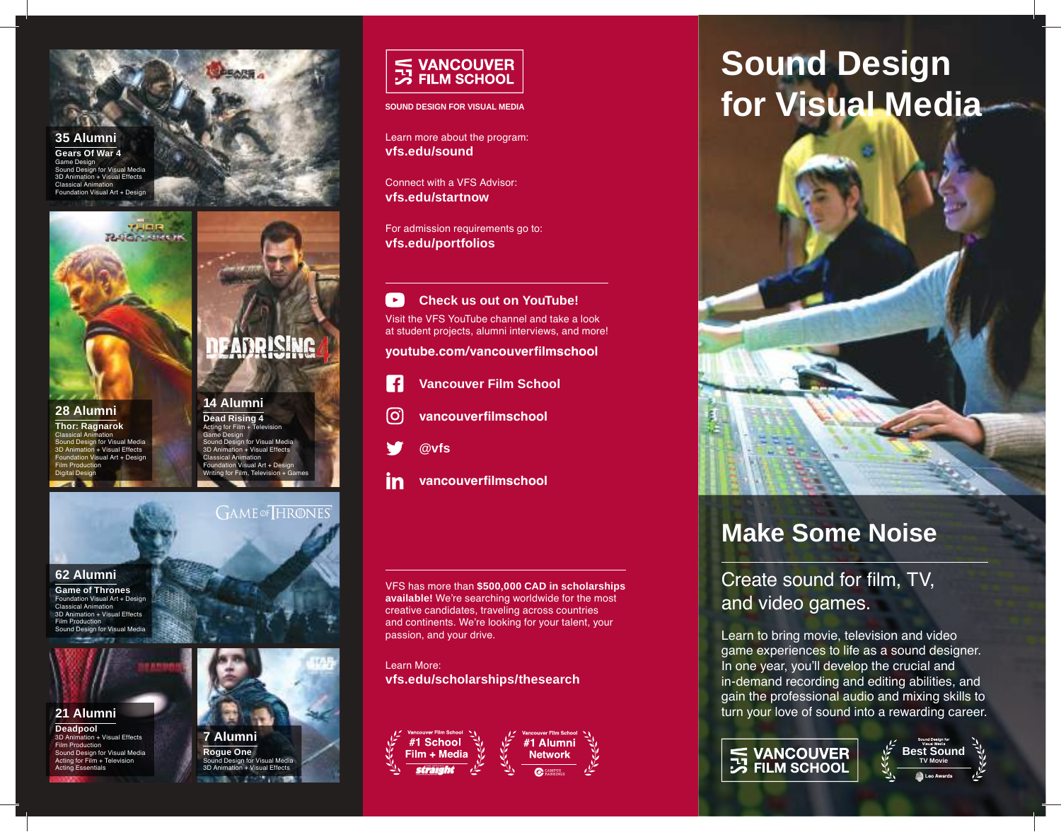**35 Alumni Gears Of War 4**

Game Design Sound Design for Visual Media n + Visual Effects Classical Animation n Visual Art + Design



**28 Alumni Thor: Ragnarok** Classical Animation Sound Design for Visual Media  $\overline{on}$  + Visual Effects Visual Art + Design Film Production Digital Design

#### **14 Alumni Dead Rising 4** Acting for Film + Television

Game Design Sound Design for Visual Media tion + Visual Effects Classical Animation  $F = \text{R}$ Writing for Film, Television + Games

**GAME** OF HRONES

EADRISING



**Game of Thrones** Foundation Visual Art + Design nimation 3D Animation + Visual Effects Film Production **Sound Design for Visual Media** 



**21 Alumni Deadpool** on + Visual Effects Film Production Sound Design for Visual Media Acting for Film + Television Acting Essentials



**7 Alumni Rogue One** Sound Design for Visual Media 3D Animation + Visual Effects



**SOUND DESIGN FOR VISUAL MEDIA**

Learn more about the program: **vfs.edu/sound**

Connect with a VFS Advisor: **vfs.edu/startnow**

For admission requirements go to: **vfs.edu/portfolios**

**Check us out on YouTube!**  $\rightarrow$ Visit the VFS YouTube channel and take a look at student projects, alumni interviews, and more!

**youtube.com/vancouverfilmschool**

- $\mathbf f$ **Vancouver Film School**
- ଟ୍ର **vancouverfilmschool**
- **@vfs**
- **vancouverfilmschool** in

VFS has more than **\$500,000 CAD in scholarships available!** We're searching worldwide for the most creative candidates, traveling across countries and continents. We're looking for your talent, your passion, and your drive.

Learn More: **vfs.edu/scholarships/thesearch**





# **Sound Design for Visual Media**



## **Make Some Noise**

Create sound for film, TV, and video games.

Learn to bring movie, television and video game experiences to life as a sound designer. In one year, you'll develop the crucial and in-demand recording and editing abilities, and gain the professional audio and mixing skills to turn your love of sound into a rewarding career.